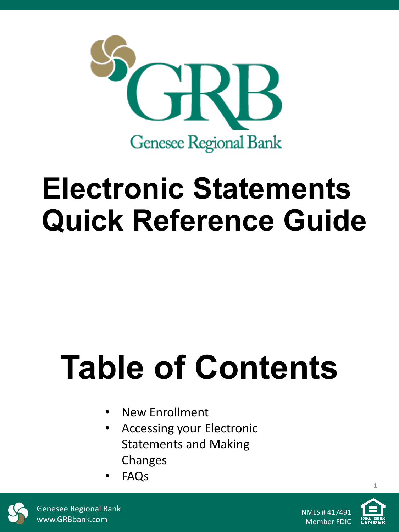

# **Electronic Statements Quick Reference Guide**

# **Table of Contents**

- New Enrollment
- Accessing your Electronic Statements and Making Changes
- FAQs



Genesee Regional Bank www.GRBbank.com



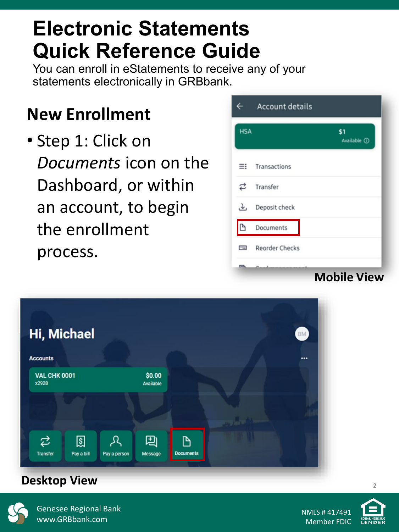### **Electronic Statements Quick Reference Guide**

You can enroll in eStatements to receive any of your statements electronically in GRBbank.

### **New Enrollment**

• Step 1: Click on *Documents* icon on the Dashboard, or within an account, to begin the enrollment process.

| $\leftarrow$ | <b>Account details</b> |                    |
|--------------|------------------------|--------------------|
| <b>HSA</b>   |                        | \$1<br>Available 1 |
| ≡            | Transactions           |                    |
| ಬ            | Transfer               |                    |
| J,           | Deposit check          |                    |
| D            | Documents              |                    |
| $\equiv$     | <b>Reorder Checks</b>  |                    |
| <b>PA</b>    |                        | <b>Mobile View</b> |



#### **Desktop View <sup>2</sup>**



Genesee Regional Bank www.GRBbank.com

NMLS # 417491 Member FDIC

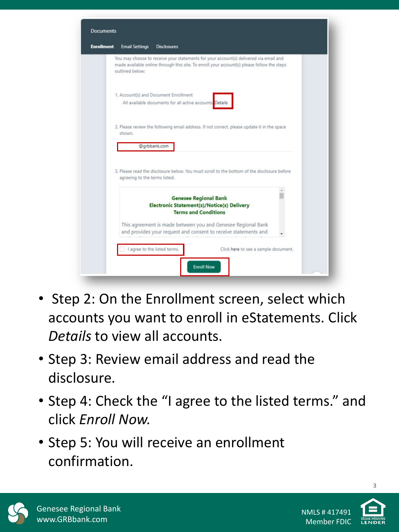| <b>Email Settings</b>         | <b>Disclosures</b>                                                                                                                                                                  |  |
|-------------------------------|-------------------------------------------------------------------------------------------------------------------------------------------------------------------------------------|--|
| outlined below:               | You may choose to receive your statements for your account(s) delivered via email and<br>made available online through this site. To enroll your account(s) please follow the steps |  |
|                               | 1. Account(s) and Document Enrollment<br>All available documents for all active accounts. Details                                                                                   |  |
| shown.                        | 2. Please review the following email address. If not correct, please update it in the space                                                                                         |  |
|                               | @grbbank.com                                                                                                                                                                        |  |
| agreeing to the terms listed. | 3. Please read the disclosure below. You must scroll to the bottom of the disclosure before                                                                                         |  |
|                               |                                                                                                                                                                                     |  |
|                               | <b>Genesee Regional Bank</b><br><b>Electronic Statement(s)/Notice(s) Delivery</b><br><b>Terms and Conditions</b>                                                                    |  |
|                               | This agreement is made between you and Genesee Regional Bank<br>and provides your request and consent to receive statements and                                                     |  |
|                               |                                                                                                                                                                                     |  |

- Step 2: On the Enrollment screen, select which accounts you want to enroll in eStatements. Click *Details* to view all accounts.
- Step 3: Review email address and read the disclosure.
- Step 4: Check the "I agree to the listed terms." and click *Enroll Now.*
- Step 5: You will receive an enrollment confirmation.



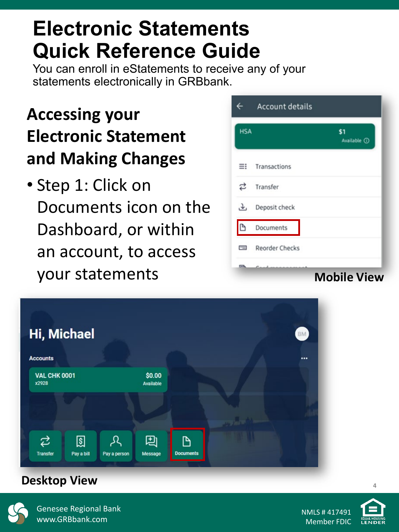### **Electronic Statements Quick Reference Guide**

You can enroll in eStatements to receive any of your statements electronically in GRBbank.

### **Accessing your Electronic Statement and Making Changes**

• Step 1: Click on Documents icon on the Dashboard, or within an account, to access your statements

|            | <b>Account details</b> |                    |
|------------|------------------------|--------------------|
| <b>HSA</b> |                        | \$1<br>Available 1 |
| ≡          | Transactions           |                    |
| ⇄          | Transfer               |                    |
| 子          | Deposit check          |                    |
| D          | Documents              |                    |
| $\equiv$   | <b>Reorder Checks</b>  |                    |
| ◚          |                        | <b>Mobile View</b> |



#### **Desktop View <sup>4</sup>**



Genesee Regional Bank www.GRBbank.com



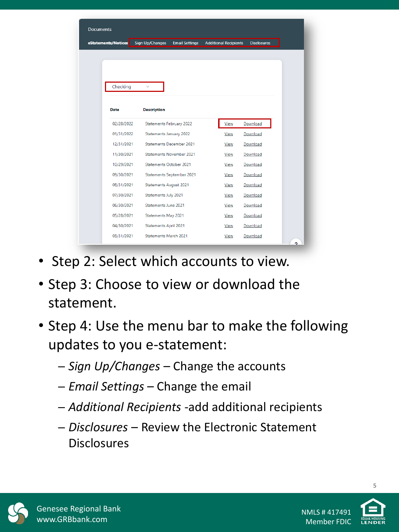| <b>Documents</b>    |                               |                                 |                              |                    |  |  |  |  |
|---------------------|-------------------------------|---------------------------------|------------------------------|--------------------|--|--|--|--|
| eStatements/Notices | Sign Up/Changes               | <b>Email Settings</b>           | <b>Additional Recipients</b> | <b>Disclosures</b> |  |  |  |  |
|                     |                               |                                 |                              |                    |  |  |  |  |
|                     |                               |                                 |                              |                    |  |  |  |  |
|                     |                               |                                 |                              |                    |  |  |  |  |
| Checking            | $\checkmark$                  |                                 |                              |                    |  |  |  |  |
|                     |                               |                                 |                              |                    |  |  |  |  |
| Date                | <b>Description</b>            |                                 |                              |                    |  |  |  |  |
| 02/28/2022          | Statements February 2022      |                                 | View                         | Download           |  |  |  |  |
| 01/31/2022          | Statements January 2022       |                                 | View                         | Download           |  |  |  |  |
| 12/31/2021          | Statements December 2021      |                                 | View                         | Download           |  |  |  |  |
| 11/30/2021          |                               | <b>Statements November 2021</b> | <b>View</b>                  | Download           |  |  |  |  |
| 10/29/2021          | Statements October 2021       |                                 | View                         | Download           |  |  |  |  |
| 09/30/2021          |                               | Statements September 2021       | View                         | Download           |  |  |  |  |
| 08/31/2021          | <b>Statements August 2021</b> |                                 | View                         | Download           |  |  |  |  |
| 07/30/2021          | Statements July 2021          |                                 | <b>View</b>                  | Download           |  |  |  |  |
| 06/30/2021          | Statements June 2021          |                                 | <b>View</b>                  | Download           |  |  |  |  |
| 05/28/2021          | Statements May 2021           |                                 | View                         | Download           |  |  |  |  |
| 04/30/2021          | <b>Statements April 2021</b>  |                                 | View                         | Download           |  |  |  |  |
| 03/31/2021          | <b>Statements March 2021</b>  |                                 | <b>View</b>                  | Download           |  |  |  |  |

- Step 2: Select which accounts to view.
- Step 3: Choose to view or download the statement.
- Step 4: Use the menu bar to make the following updates to you e-statement:
	- ─ *Sign Up/Changes*  Change the accounts
	- ─ *Email Settings*  Change the email
	- ─ *Additional Recipients* -add additional recipients
	- ─ *Disclosures* Review the Electronic Statement Disclosures



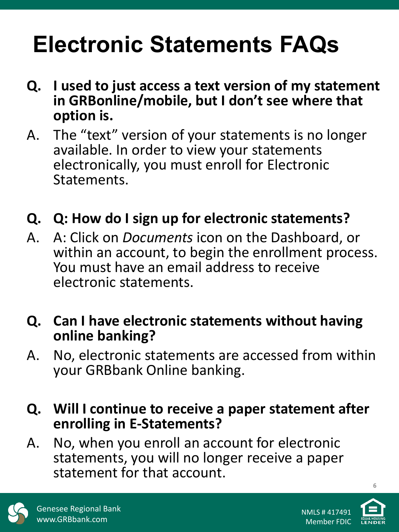## **Electronic Statements FAQs**

- **Q. I used to just access a text version of my statement in GRBonline/mobile, but I don't see where that option is.**
- A. The "text" version of your statements is no longer available. In order to view your statements electronically, you must enroll for Electronic Statements.
- **Q. Q: How do I sign up for electronic statements?**
- A. A: Click on *Documents* icon on the Dashboard, or within an account, to begin the enrollment process. You must have an email address to receive electronic statements.
- **Q. Can I have electronic statements without having online banking?**
- A. No, electronic statements are accessed from within your GRBbank Online banking.
- **Q. Will I continue to receive a paper statement after enrolling in E-Statements?**
- A. No, when you enroll an account for electronic statements, you will no longer receive a paper statement for that account.